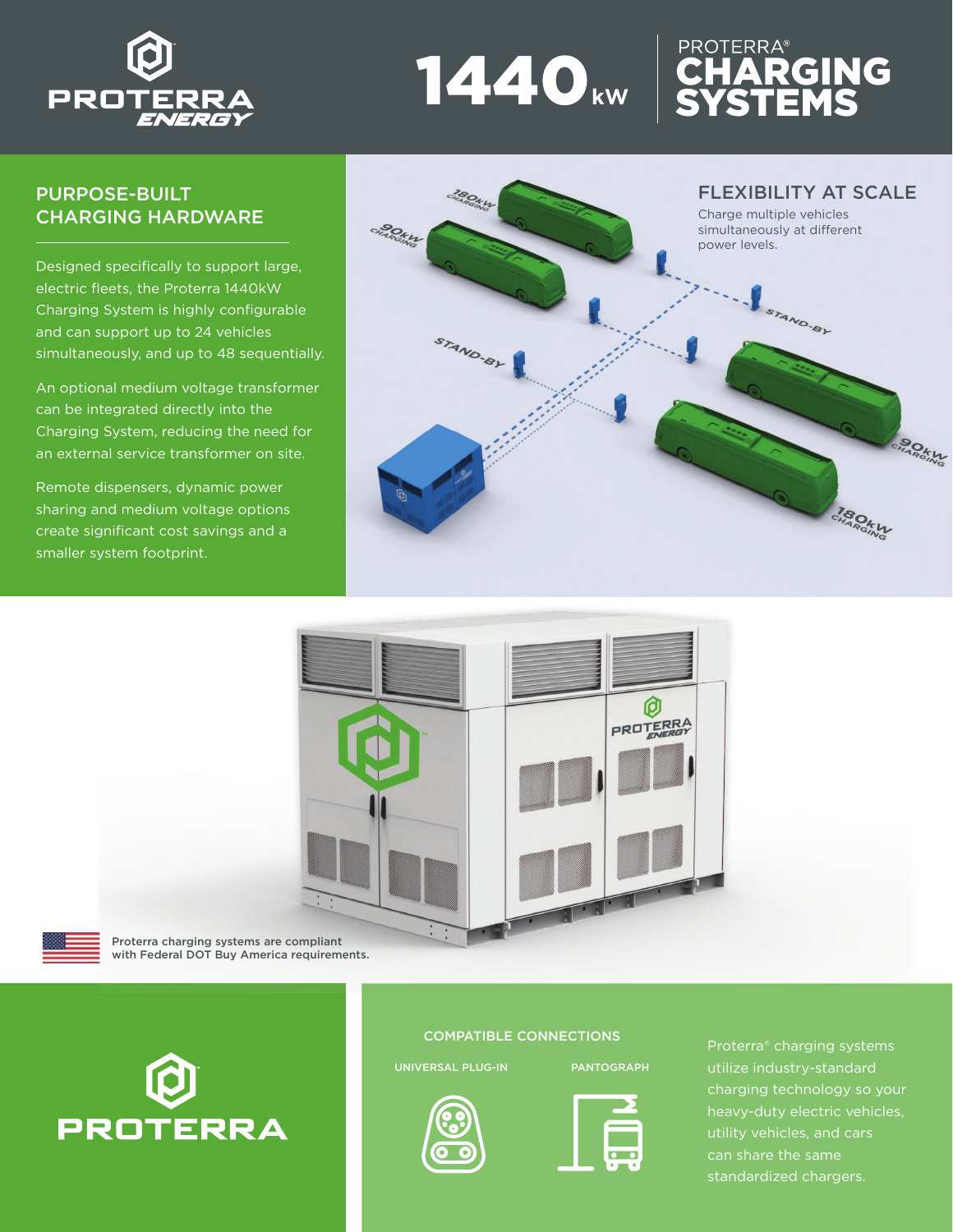

## PURPOSE-BUILT CHARGING HARDWARE

Designed specifically to support large, electric fleets, the Proterra 1440kW Charging System is highly configurable and can support up to 24 vehicles simultaneously, and up to 48 sequentially.

An optional medium voltage transformer can be integrated directly into the Charging System, reducing the need for an external service transformer on site.

Remote dispensers, dynamic power sharing and medium voltage options create significant cost savings and a smaller system footprint.



**CHARGING** 

**SYSTEMS** 



1440**kW**



with Federal DOT Buy America requirements.



## COMPATIBLE CONNECTIONS

UNIVERSAL PLUG-IN PANTOGRAPH





Proterra® charging systems charging technology so your heavy-duty electric vehicles, utility vehicles, and cars can share the same standardized chargers.